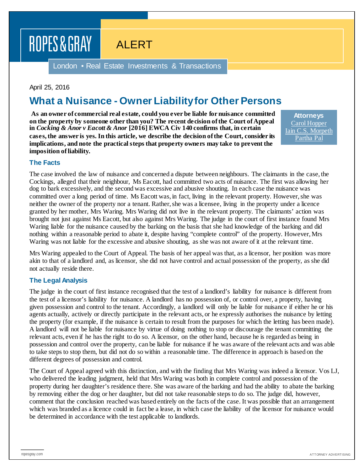# ROPES & GRAY

ALERT

London • Real Estate Investments & Transactions

### April 25, 2016

## **What a Nuisance - Owner Liability for Other Persons**

**As an owner of commercial real estate, could you ever be liable for nuisance committed on the property by someone other than you? The recent decision of the Court of Appeal in** *Cocking & Anor v Eacott & Anor* **[2016] EWCA Civ 140 confirms that, in certain cases, the answer is yes. In this article, we describe the decision of the Court, consider its implications, and note the practical steps that property owners may take to prevent the imposition of liability.**

**Attorneys** [Carol Hopper](https://www.ropesgray.com/biographies/h/carol-hopper.aspx) [Iain C.S. Morpeth](https://www.ropesgray.com/biographies/m/iain-cs-morpeth.aspx) [Partha Pal](https://www.ropesgray.com/biographies/p/partha-pal.aspx)

#### **The Facts**

The case involved the law of nuisance and concerned a dispute between neighbours. The claimants in the case, the Cockings, alleged that their neighbour, Ms Eacott, had committed two acts of nuisance. The first was allowing her dog to bark excessively, and the second was excessive and abusive shouting. In each case the nuisance was committed over a long period of time. Ms Eacott was, in fact, living in the relevant property. However, she was neither the owner of the property nor a tenant. Rather, she was a licensee, living in the property under a licence granted by her mother, Mrs Waring. Mrs Waring did not live in the relevant property. The claimants' action was brought not just against Ms Eacott, but also against Mrs Waring. The judge in the court of first instance found Mrs Waring liable for the nuisance caused by the barking on the basis that she had knowledge of the barking and did nothing within a reasonable period to abate it, despite having "complete control" of the property. However, Mrs Waring was not liable for the excessive and abusive shouting, as she was not aware of it at the relevant time.

Mrs Waring appealed to the Court of Appeal. The basis of her appeal was that, as a licensor, her position was more akin to that of a landlord and, as licensor, she did not have control and actual possession of the property, as she did not actually reside there.

#### **The Legal Analysis**

The judge in the court of first instance recognised that the test of a landlord's liability for nuisance is different from the test of a licensor's liability for nuisance. A landlord has no possession of, or control over, a property, having given possession and control to the tenant. Accordingly, a landlord will only be liable for nuisance if either he or his agents actually, actively or directly participate in the relevant acts, or he expressly authorises the nuisance by letting the property (for example, if the nuisance is certain to result from the purposes for which the letting has been made). A landlord will not be liable for nuisance by virtue of doing nothing to stop or discourage the tenant committing the relevant acts, even if he has the right to do so. A licensor, on the other hand, because he is regarded as being in possession and control over the property, can be liable for nuisance if he was aware of the relevant acts and was able to take steps to stop them, but did not do so within a reasonable time. The difference in approach is based on the different degrees of possession and control.

The Court of Appeal agreed with this distinction, and with the finding that Mrs Waring was indeed a licensor. Vos LJ, who delivered the leading judgment, held that Mrs Waring was both in complete control and possession of the property during her daughter's residence there. She was aware of the barking and had the ability to abate the barking by removing either the dog or her daughter, but did not take reasonable steps to do so. The judge did, however, comment that the conclusion reached was based entirely on the facts of the case. It was possible that an arrangement which was branded as a licence could in fact be a lease, in which case the liability of the licensor for nuisance would be determined in accordance with the test applicable to landlords.